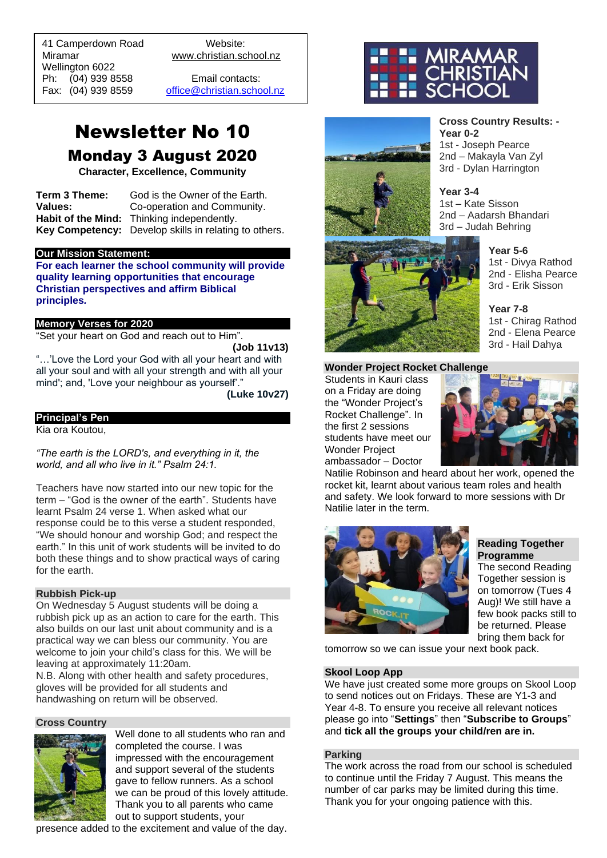41 Camperdown Road Website: Miramar www.christian.school.nz Wellington 6022 Ph: (04) 939 8558 Email contacts:

 $\overline{a}$ 

Fax: (04) 939 8559 [office@christian.school.nz](mailto:office@christian.school.nz)

# Newsletter No 10

Monday 3 August 2020

**Character, Excellence, Community**

**Term 3 Theme:** God is the Owner of the Earth. **Values:** Co-operation and Community. **Habit of the Mind:** Thinking independently. **Key Competency:** Develop skills in relating to others.

#### **Our Mission Statement:**

**For each learner the school community will provide quality learning opportunities that encourage Christian perspectives and affirm Biblical principles***.*

#### **Memory Verses for 2020**

"Set your heart on God and reach out to Him".

**(Job 11v13)**

"…'Love the Lord your God with all your heart and with all your soul and with all your strength and with all your mind'; and, 'Love your neighbour as yourself'."

**(Luke 10v27)**

#### **Principal's Pen**

Kia ora Koutou,

*"The earth is the LORD's, and everything in it, the world, and all who live in it." Psalm 24:1.* 

Teachers have now started into our new topic for the term – "God is the owner of the earth". Students have learnt Psalm 24 verse 1. When asked what our response could be to this verse a student responded, "We should honour and worship God; and respect the earth." In this unit of work students will be invited to do both these things and to show practical ways of caring for the earth.

#### **Rubbish Pick-up**

On Wednesday 5 August students will be doing a rubbish pick up as an action to care for the earth. This also builds on our last unit about community and is a practical way we can bless our community. You are welcome to join your child's class for this. We will be leaving at approximately 11:20am.

N.B. Along with other health and safety procedures, gloves will be provided for all students and handwashing on return will be observed.

#### **Cross Country**



Well done to all students who ran and completed the course. I was impressed with the encouragement and support several of the students gave to fellow runners. As a school we can be proud of this lovely attitude. Thank you to all parents who came out to support students, your

presence added to the excitement and value of the day.



**Year 0-2**

**Year 3-4**





**Year 5-6** 1st - Divya Rathod 2nd - Elisha Pearce 3rd - Erik Sisson

**Cross Country Results: -**

1st - Joseph Pearce 2nd – Makayla Van Zyl 3rd - Dylan Harrington

1st – Kate Sisson 2nd – Aadarsh Bhandari 3rd – Judah Behring

> **Year 7-8** 1st - Chirag Rathod 2nd - Elena Pearce 3rd - Hail Dahya

#### **Wonder Project Rocket Challenge**

Students in Kauri class on a Friday are doing the "Wonder Project's Rocket Challenge". In the first 2 sessions students have meet our Wonder Project ambassador – Doctor



Natilie Robinson and heard about her work, opened the rocket kit, learnt about various team roles and health and safety. We look forward to more sessions with Dr Natilie later in the term.



**Reading Together Programme**

The second Reading Together session is on tomorrow (Tues 4 Aug)! We still have a few book packs still to be returned. Please bring them back for

tomorrow so we can issue your next book pack.

#### **Skool Loop App**

We have just created some more groups on Skool Loop to send notices out on Fridays. These are Y1-3 and Year 4-8. To ensure you receive all relevant notices please go into "**Settings**" then "**Subscribe to Groups**" and **tick all the groups your child/ren are in.**

#### **Parking**

The work across the road from our school is scheduled to continue until the Friday 7 August. This means the number of car parks may be limited during this time. Thank you for your ongoing patience with this.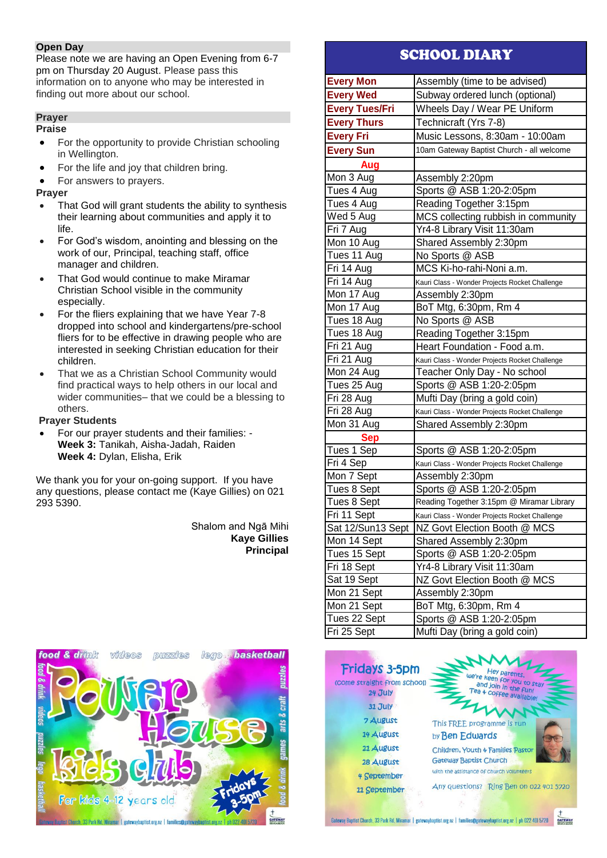# **Open Day**

Please note we are having an Open Evening from 6-7 pm on Thursday 20 August. Please pass this information on to anyone who may be interested in finding out more about our school.

# **Prayer**

#### **Praise**

- For the opportunity to provide Christian schooling in Wellington.
- For the life and joy that children bring.
- For answers to prayers.

# **Prayer**

- That God will grant students the ability to synthesis their learning about communities and apply it to life.
- For God's wisdom, anointing and blessing on the work of our, Principal, teaching staff, office manager and children.
- That God would continue to make Miramar Christian School visible in the community especially.
- For the fliers explaining that we have Year 7-8 dropped into school and kindergartens/pre-school fliers for to be effective in drawing people who are interested in seeking Christian education for their children.
- That we as a Christian School Community would find practical ways to help others in our local and wider communities– that we could be a blessing to others.

# **Prayer Students**

• For our prayer students and their families: - **Week 3:** Tanikah, Aisha-Jadah, Raiden **Week 4:** Dylan, Elisha, Erik

We thank you for your on-going support. If you have any questions, please contact me (Kaye Gillies) on 021 293 5390.

> Shalom and Ngā Mihi **Kaye Gillies Principal**



# SCHOOL DIARY

| <b>Every Mon</b>      | Assembly (time to be advised)                  |
|-----------------------|------------------------------------------------|
| <b>Every Wed</b>      | Subway ordered lunch (optional)                |
| <b>Every Tues/Fri</b> | Wheels Day / Wear PE Uniform                   |
| <b>Every Thurs</b>    | Technicraft (Yrs 7-8)                          |
| <b>Every Fri</b>      | Music Lessons, 8:30am - 10:00am                |
| <b>Every Sun</b>      | 10am Gateway Baptist Church - all welcome      |
| Aug                   |                                                |
| Mon 3 Aug             | Assembly 2:20pm                                |
| Tues 4 Aug            | Sports @ ASB 1:20-2:05pm                       |
| Tues 4 Aug            | Reading Together 3:15pm                        |
| Wed 5 Aug             | MCS collecting rubbish in community            |
| Fri 7 Aug             | Yr4-8 Library Visit 11:30am                    |
| Mon 10 Aug            | Shared Assembly 2:30pm                         |
| Tues 11 Aug           | No Sports @ ASB                                |
| Fri 14 Aug            | MCS Ki-ho-rahi-Noni a.m.                       |
| Fri 14 Aug            | Kauri Class - Wonder Projects Rocket Challenge |
| Mon 17 Aug            | Assembly 2:30pm                                |
| Mon 17 Aug            | BoT Mtg, 6:30pm, Rm 4                          |
| Tues 18 Aug           | No Sports @ ASB                                |
| Tues 18 Aug           | Reading Together 3:15pm                        |
| Fri 21 Aug            | Heart Foundation - Food a.m.                   |
| Fri 21 Aug            | Kauri Class - Wonder Projects Rocket Challenge |
| Mon 24 Aug            | Teacher Only Day - No school                   |
| Tues 25 Aug           | Sports @ ASB 1:20-2:05pm                       |
| Fri 28 Aug            | Mufti Day (bring a gold coin)                  |
| Fri 28 Aug            | Kauri Class - Wonder Projects Rocket Challenge |
| Mon 31 Aug            | Shared Assembly 2:30pm                         |
| <b>Sep</b>            |                                                |
| Tues 1 Sep            | Sports @ ASB 1:20-2:05pm                       |
| Fri 4 Sep             | Kauri Class - Wonder Projects Rocket Challenge |
| Mon 7 Sept            | Assembly 2:30pm                                |
| Tues 8 Sept           | Sports @ ASB 1:20-2:05pm                       |
| Tues 8 Sept           | Reading Together 3:15pm @ Miramar Library      |
| Fri 11 Sept           | Kauri Class - Wonder Projects Rocket Challenge |
| Sat 12/Sun13 Sept     | NZ Govt Election Booth @ MCS                   |
| Mon 14 Sept           | Shared Assembly 2:30pm                         |
| Tues 15 Sept          | Sports @ ASB 1:20-2:05pm                       |
| Fri 18 Sept           | Yr4-8 Library Visit 11:30am                    |
| Sat 19 Sept           | NZ Govt Election Booth @ MCS                   |
| Mon 21 Sept           | Assembly 2:30pm                                |
| Mon 21 Sept           | BoT Mtg, 6:30pm, Rm 4                          |
| Tues 22 Sept          | Sports @ ASB 1:20-2:05pm                       |
| Fri 25 Sept           | Mufti Day (bring a gold coin)                  |